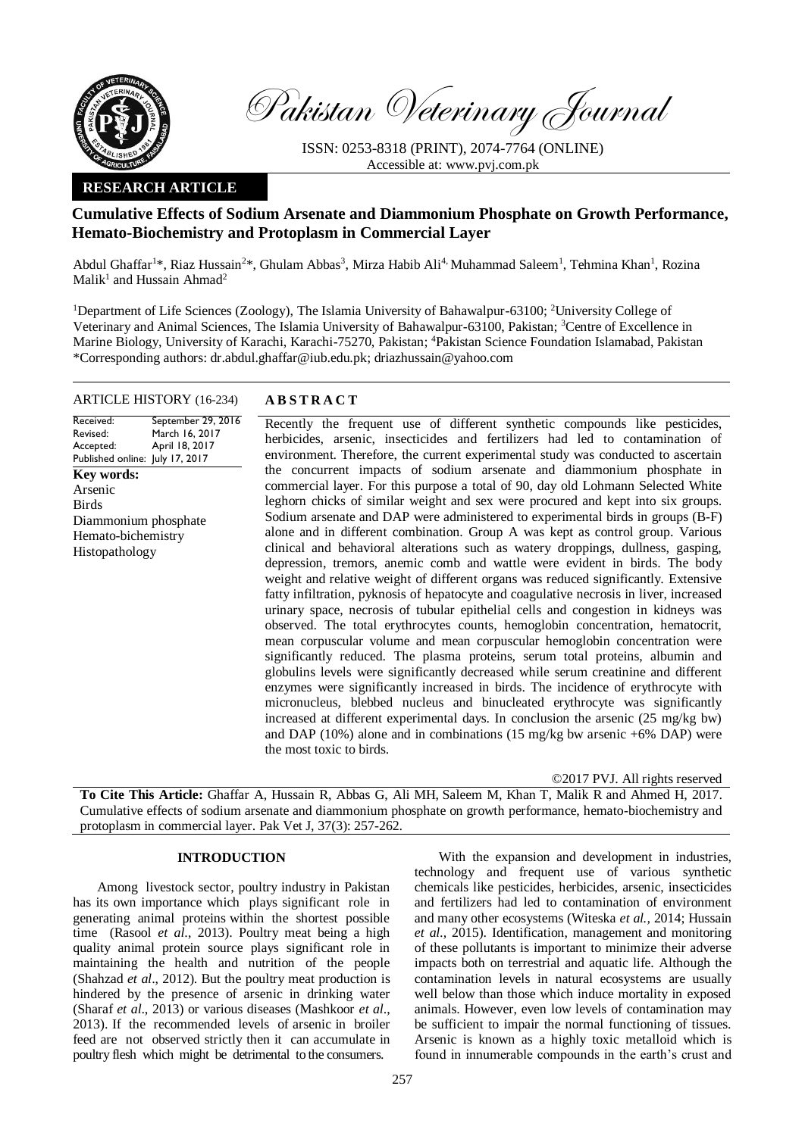

Pakistan Veterinary Journal

ISSN: 0253-8318 (PRINT), 2074-7764 (ONLINE) Accessible at: [www.pvj.com.pk](http://www.pvj.com.pk/)

## **RESEARCH ARTICLE**

# **Cumulative Effects of Sodium Arsenate and Diammonium Phosphate on Growth Performance, Hemato-Biochemistry and Protoplasm in Commercial Layer**

Abdul Ghaffar<sup>1\*</sup>, Riaz Hussain<sup>2\*</sup>, Ghulam Abbas<sup>3</sup>, Mirza Habib Ali<sup>4,</sup> Muhammad Saleem<sup>1</sup>, Tehmina Khan<sup>1</sup>, Rozina Malik<sup>1</sup> and Hussain Ahmad<sup>2</sup>

<sup>1</sup>Department of Life Sciences (Zoology), The Islamia University of Bahawalpur-63100; <sup>2</sup>University College of Veterinary and Animal Sciences, The Islamia University of Bahawalpur-63100, Pakistan; <sup>3</sup>Centre of Excellence in Marine Biology, University of Karachi, Karachi-75270, Pakistan; <sup>4</sup>Pakistan Science Foundation Islamabad, Pakistan \*Corresponding authors: dr.abdul.ghaffar@iub.edu.pk; driazhussain@yahoo.com

## ARTICLE HISTORY (16-234) **A B S T R A C T**

Received: Revised: Accepted: Published online: July 17, 2017 September 29, 2016 March 16, 2017 April 18, 2017 **Key words:**  Arsenic Birds Diammonium phosphate Hemato-bichemistry Histopathology

Recently the frequent use of different synthetic compounds like pesticides, herbicides, arsenic, insecticides and fertilizers had led to contamination of environment. Therefore, the current experimental study was conducted to ascertain the concurrent impacts of sodium arsenate and diammonium phosphate in commercial layer. For this purpose a total of 90, day old Lohmann Selected White leghorn chicks of similar weight and sex were procured and kept into six groups. Sodium arsenate and DAP were administered to experimental birds in groups (B-F) alone and in different combination. Group A was kept as control group. Various clinical and behavioral alterations such as watery droppings, dullness, gasping, depression, tremors, anemic comb and wattle were evident in birds. The body weight and relative weight of different organs was reduced significantly. Extensive fatty infiltration, pyknosis of hepatocyte and coagulative necrosis in liver, increased urinary space, necrosis of tubular epithelial cells and congestion in kidneys was observed. The total erythrocytes counts, hemoglobin concentration, hematocrit, mean corpuscular volume and mean corpuscular hemoglobin concentration were significantly reduced. The plasma proteins, serum total proteins, albumin and globulins levels were significantly decreased while serum creatinine and different enzymes were significantly increased in birds. The incidence of erythrocyte with micronucleus, blebbed nucleus and binucleated erythrocyte was significantly increased at different experimental days. In conclusion the arsenic (25 mg/kg bw) and DAP (10%) alone and in combinations (15 mg/kg bw arsenic  $+6\%$  DAP) were the most toxic to birds.

©2017 PVJ. All rights reserved

**To Cite This Article:** Ghaffar A, Hussain R, Abbas G, Ali MH, Saleem M, Khan T, Malik R and Ahmed H, 2017. Cumulative effects of sodium arsenate and diammonium phosphate on growth performance, hemato-biochemistry and protoplasm in commercial layer. Pak Vet J, 37(3): 257-262.

## **INTRODUCTION**

Among livestock sector, poultry industry in Pakistan has its own importance which plays significant role in generating animal proteins within the shortest possible time (Rasool *et al*., 2013). Poultry meat being a high quality animal protein source plays significant role in maintaining the health and nutrition of the people (Shahzad *et al*., 2012). But the poultry meat production is hindered by the presence of arsenic in drinking water (Sharaf *et al*., 2013) or various diseases (Mashkoor *et al*., 2013). If the recommended levels of arsenic in broiler feed are not observed strictly then it can accumulate in poultry flesh which might be detrimental to the consumers.

With the expansion and development in industries, technology and frequent use of various synthetic chemicals like pesticides, herbicides, arsenic, insecticides and fertilizers had led to contamination of environment and many other ecosystems (Witeska *et al.,* 2014; Hussain *et al.,* 2015). Identification, management and monitoring of these pollutants is important to minimize their adverse impacts both on terrestrial and aquatic life. Although the contamination levels in natural ecosystems are usually well below than those which induce mortality in exposed animals. However, even low levels of contamination may be sufficient to impair the normal functioning of tissues. Arsenic is known as a highly toxic metalloid which is found in innumerable compounds in the earth's crust and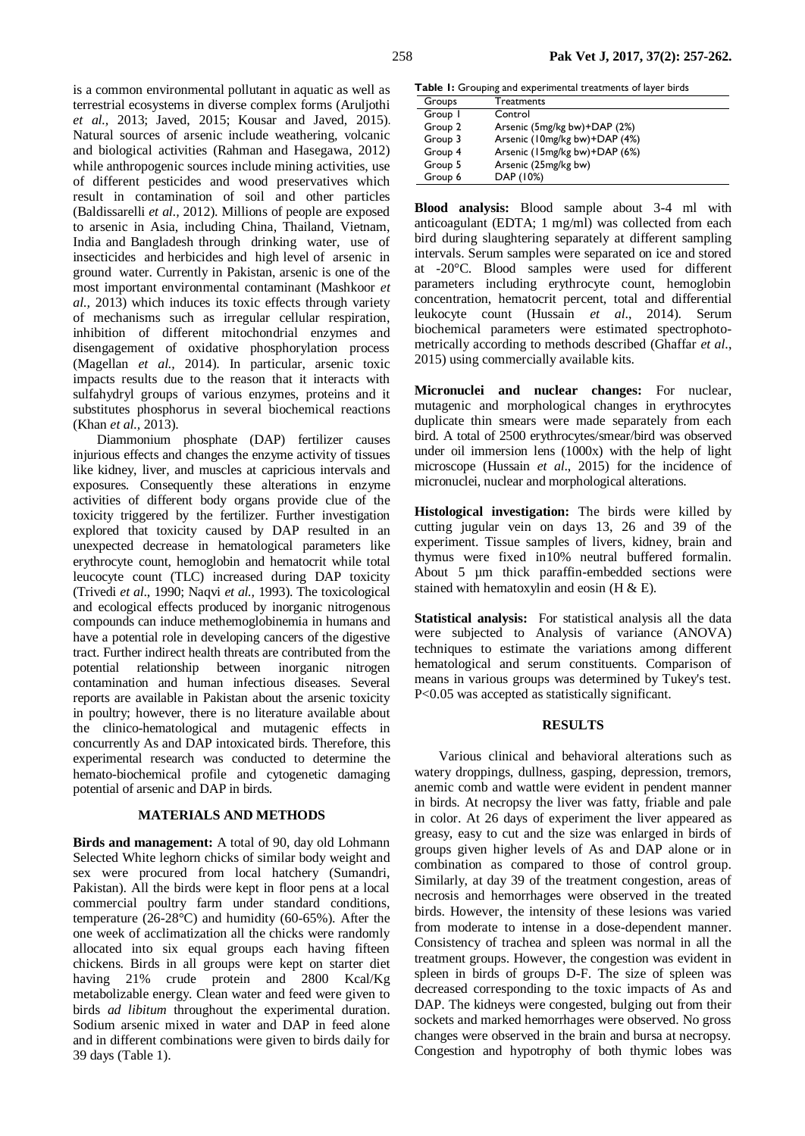is a common environmental pollutant in aquatic as well as terrestrial ecosystems in diverse complex forms (Aruljothi *et al.,* 2013; Javed, 2015; Kousar and Javed, 2015). Natural sources of arsenic include weathering, volcanic and biological activities (Rahman and Hasegawa, 2012) while anthropogenic sources include mining activities, use of different pesticides and wood preservatives which result in contamination of soil and other particles (Baldissarelli *et al.,* 2012). Millions of people are exposed to arsenic in Asia, including China, Thailand, Vietnam, India and Bangladesh through drinking water, use of insecticides and herbicides and high level of arsenic in ground water. Currently in Pakistan, arsenic is one of the most important environmental contaminant (Mashkoor *et al.,* 2013) which induces its toxic effects through variety of mechanisms such as irregular cellular respiration, inhibition of different mitochondrial enzymes and disengagement of oxidative phosphorylation process (Magellan *et al.,* 2014). In particular, arsenic toxic impacts results due to the reason that it interacts with sulfahydryl groups of various enzymes, proteins and it substitutes phosphorus in several biochemical reactions (Khan *et al.,* 2013).

Diammonium phosphate (DAP) fertilizer causes injurious effects and changes the enzyme activity of tissues like kidney, liver, and muscles at capricious intervals and exposures. Consequently these alterations in enzyme activities of different body organs provide clue of the toxicity triggered by the fertilizer. Further investigation explored that toxicity caused by DAP resulted in an unexpected decrease in hematological parameters like erythrocyte count, hemoglobin and hematocrit while total leucocyte count (TLC) increased during DAP toxicity (Trivedi *et al*., 1990; Naqvi *et al.,* 1993). The toxicological and ecological effects produced by inorganic nitrogenous compounds can induce methemoglobinemia in humans and have a potential role in developing cancers of the digestive tract. Further indirect health threats are contributed from the potential relationship between inorganic nitrogen contamination and human infectious diseases. Several reports are available in Pakistan about the arsenic toxicity in poultry; however, there is no literature available about the clinico-hematological and mutagenic effects in concurrently As and DAP intoxicated birds. Therefore, this experimental research was conducted to determine the hemato-biochemical profile and cytogenetic damaging potential of arsenic and DAP in birds.

#### **MATERIALS AND METHODS**

**Birds and management:** A total of 90, day old Lohmann Selected White leghorn chicks of similar body weight and sex were procured from local hatchery (Sumandri, Pakistan). All the birds were kept in floor pens at a local commercial poultry farm under standard conditions, temperature (26-28°C) and humidity (60-65%). After the one week of acclimatization all the chicks were randomly allocated into six equal groups each having fifteen chickens. Birds in all groups were kept on starter diet having 21% crude protein and 2800 Kcal/Kg metabolizable energy. Clean water and feed were given to birds *ad libitum* throughout the experimental duration. Sodium arsenic mixed in water and DAP in feed alone and in different combinations were given to birds daily for 39 days (Table 1).

**Table 1:** Grouping and experimental treatments of layer birds

| Groups  | Treatments                    |
|---------|-------------------------------|
| Group I | Control                       |
| Group 2 | Arsenic (5mg/kg bw)+DAP (2%)  |
| Group 3 | Arsenic (10mg/kg bw)+DAP (4%) |
| Group 4 | Arsenic (15mg/kg bw)+DAP (6%) |
| Group 5 | Arsenic (25mg/kg bw)          |
| Group 6 | DAP (10%)                     |
|         |                               |

**Blood analysis:** Blood sample about 3-4 ml with anticoagulant (EDTA; 1 mg/ml) was collected from each bird during slaughtering separately at different sampling intervals. Serum samples were separated on ice and stored at -20°C. Blood samples were used for different parameters including erythrocyte count, hemoglobin concentration, hematocrit percent, total and differential leukocyte count (Hussain *et al*., 2014). Serum biochemical parameters were estimated spectrophotometrically according to methods described (Ghaffar *et al*., 2015) using commercially available kits.

**Micronuclei and nuclear changes:** For nuclear, mutagenic and morphological changes in erythrocytes duplicate thin smears were made separately from each bird. A total of 2500 erythrocytes/smear/bird was observed under oil immersion lens (1000x) with the help of light microscope (Hussain *et al*., 2015) for the incidence of micronuclei, nuclear and morphological alterations.

**Histological investigation:** The birds were killed by cutting jugular vein on days 13, 26 and 39 of the experiment. Tissue samples of livers, kidney, brain and thymus were fixed in10% neutral buffered formalin. About 5 µm thick paraffin-embedded sections were stained with hematoxylin and eosin  $(H & E)$ .

**Statistical analysis:** For statistical analysis all the data were subjected to Analysis of variance (ANOVA) techniques to estimate the variations among different hematological and serum constituents. Comparison of means in various groups was determined by Tukey's test. P<0.05 was accepted as statistically significant.

## **RESULTS**

Various clinical and behavioral alterations such as watery droppings, dullness, gasping, depression, tremors, anemic comb and wattle were evident in pendent manner in birds. At necropsy the liver was fatty, friable and pale in color. At 26 days of experiment the liver appeared as greasy, easy to cut and the size was enlarged in birds of groups given higher levels of As and DAP alone or in combination as compared to those of control group. Similarly, at day 39 of the treatment congestion, areas of necrosis and hemorrhages were observed in the treated birds. However, the intensity of these lesions was varied from moderate to intense in a dose-dependent manner. Consistency of trachea and spleen was normal in all the treatment groups. However, the congestion was evident in spleen in birds of groups D-F. The size of spleen was decreased corresponding to the toxic impacts of As and DAP. The kidneys were congested, bulging out from their sockets and marked hemorrhages were observed. No gross changes were observed in the brain and bursa at necropsy. Congestion and hypotrophy of both thymic lobes was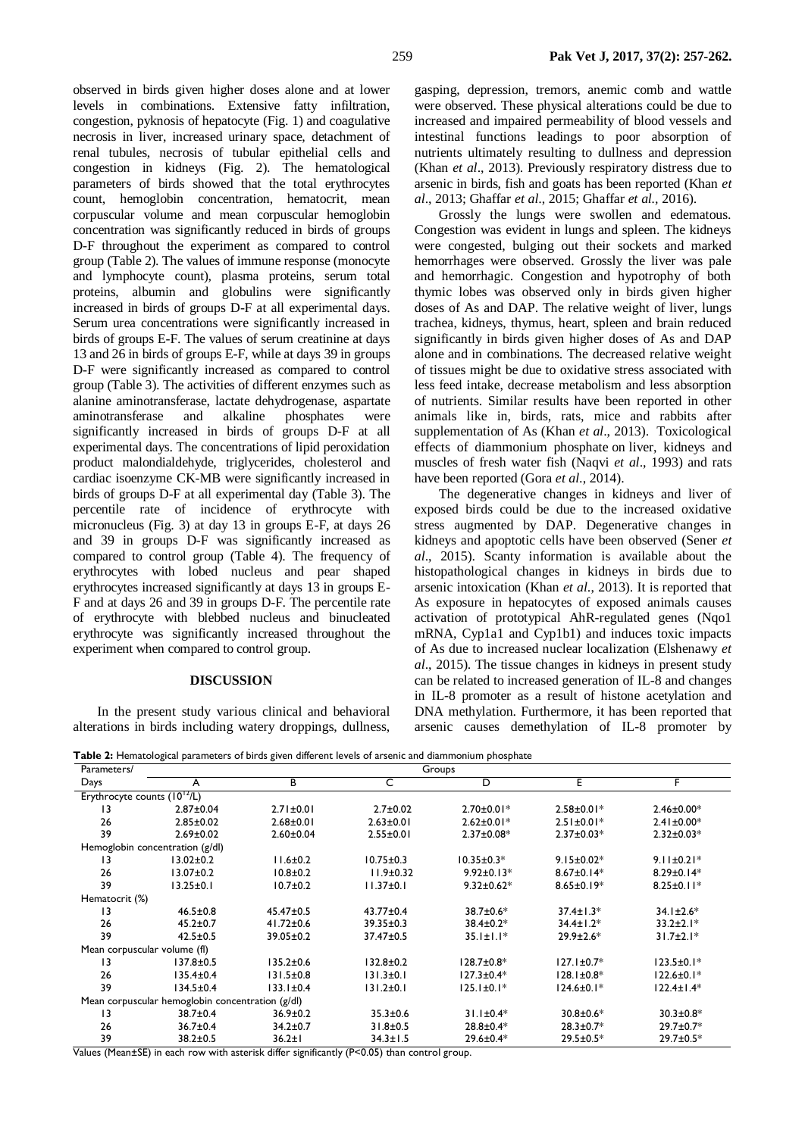observed in birds given higher doses alone and at lower levels in combinations. Extensive fatty infiltration, congestion, pyknosis of hepatocyte (Fig. 1) and coagulative necrosis in liver, increased urinary space, detachment of renal tubules, necrosis of tubular epithelial cells and congestion in kidneys (Fig. 2). The hematological parameters of birds showed that the total erythrocytes count, hemoglobin concentration, hematocrit, mean corpuscular volume and mean corpuscular hemoglobin concentration was significantly reduced in birds of groups D-F throughout the experiment as compared to control group (Table 2). The values of immune response (monocyte and lymphocyte count), plasma proteins, serum total proteins, albumin and globulins were significantly increased in birds of groups D-F at all experimental days. Serum urea concentrations were significantly increased in birds of groups E-F. The values of serum creatinine at days 13 and 26 in birds of groups E-F, while at days 39 in groups D-F were significantly increased as compared to control group (Table 3). The activities of different enzymes such as alanine aminotransferase, lactate dehydrogenase, aspartate aminotransferase and alkaline phosphates were significantly increased in birds of groups D-F at all experimental days. The concentrations of lipid peroxidation product malondialdehyde, triglycerides, cholesterol and cardiac isoenzyme CK-MB were significantly increased in birds of groups D-F at all experimental day (Table 3). The percentile rate of incidence of erythrocyte with micronucleus (Fig. 3) at day 13 in groups E-F, at days 26 and 39 in groups D-F was significantly increased as compared to control group (Table 4). The frequency of erythrocytes with lobed nucleus and pear shaped erythrocytes increased significantly at days 13 in groups E-F and at days 26 and 39 in groups D-F. The percentile rate of erythrocyte with blebbed nucleus and binucleated erythrocyte was significantly increased throughout the experiment when compared to control group.

## **DISCUSSION**

In the present study various clinical and behavioral alterations in birds including watery droppings, dullness,

gasping, depression, tremors, anemic comb and wattle were observed. These physical alterations could be due to increased and impaired permeability of blood vessels and intestinal functions leadings to poor absorption of nutrients ultimately resulting to dullness and depression (Khan *et al*., 2013). Previously respiratory distress due to arsenic in birds, fish and goats has been reported (Khan *et al*., 2013; Ghaffar *et al*., 2015; Ghaffar *et al.,* 2016).

Grossly the lungs were swollen and edematous. Congestion was evident in lungs and spleen. The kidneys were congested, bulging out their sockets and marked hemorrhages were observed. Grossly the liver was pale and hemorrhagic. Congestion and hypotrophy of both thymic lobes was observed only in birds given higher doses of As and DAP. The relative weight of liver, lungs trachea, kidneys, thymus, heart, spleen and brain reduced significantly in birds given higher doses of As and DAP alone and in combinations. The decreased relative weight of tissues might be due to oxidative stress associated with less feed intake, decrease metabolism and less absorption of nutrients. Similar results have been reported in other animals like in, birds, rats, mice and rabbits after supplementation of As (Khan *et al*., 2013). Toxicological effects of diammonium phosphate on liver, kidneys and muscles of fresh water fish (Naqvi *et al*., 1993) and rats have been reported (Gora *et al*., 2014).

The degenerative changes in kidneys and liver of exposed birds could be due to the increased oxidative stress augmented by DAP. Degenerative changes in kidneys and apoptotic cells have been observed (Sener *et al*., 2015). Scanty information is available about the histopathological changes in kidneys in birds due to arsenic intoxication (Khan *et al*., 2013). It is reported that As exposure in hepatocytes of exposed animals causes activation of prototypical AhR-regulated genes (Nqo1 mRNA, Cyp1a1 and Cyp1b1) and induces toxic impacts of As due to increased nuclear localization (Elshenawy *et al*., 2015). The tissue changes in kidneys in present study can be related to increased generation of IL-8 and changes in IL-8 promoter as a result of histone acetylation and DNA methylation. Furthermore, it has been reported that arsenic causes demethylation of IL-8 promoter by

**Table 2:** Hematological parameters of birds given different levels of arsenic and diammonium phosphate

| Parameters/                                      | able 2. Hematological parameters of birds given unicremented or arsente and ulammomant prosphate<br>Groups |                                                                                                                                               |                 |                   |                   |                  |  |
|--------------------------------------------------|------------------------------------------------------------------------------------------------------------|-----------------------------------------------------------------------------------------------------------------------------------------------|-----------------|-------------------|-------------------|------------------|--|
| Days                                             | A                                                                                                          | в                                                                                                                                             | C               | D                 | E.                | F                |  |
| Erythrocyte counts $(10^{12}/L)$                 |                                                                                                            |                                                                                                                                               |                 |                   |                   |                  |  |
| 13                                               | $2.87 \pm 0.04$                                                                                            | $2.71 \pm 0.01$                                                                                                                               | $2.7 \pm 0.02$  | $2.70 \pm 0.01*$  | $2.58 \pm 0.01*$  | $2.46 \pm 0.00*$ |  |
| 26                                               | $2.85 \pm 0.02$                                                                                            | $2.68 \pm 0.01$                                                                                                                               | $2.63 \pm 0.01$ | $2.62 \pm 0.01*$  | $2.51 \pm 0.01*$  | $2.41 \pm 0.00*$ |  |
| 39                                               | $2.69 \pm 0.02$                                                                                            | $2.60 \pm 0.04$                                                                                                                               | $2.55 \pm 0.01$ | $2.37 \pm 0.08*$  | $2.37 \pm 0.03*$  | $2.32 \pm 0.03*$ |  |
| Hemoglobin concentration (g/dl)                  |                                                                                                            |                                                                                                                                               |                 |                   |                   |                  |  |
| 13                                               | $13.02 \pm 0.2$                                                                                            | $11.6 \pm 0.2$                                                                                                                                | $10.75 \pm 0.3$ | $10.35 \pm 0.3*$  | $9.15 \pm 0.02*$  | $9.11 \pm 0.21*$ |  |
| 26                                               | $13.07 \pm 0.2$                                                                                            | $10.8 + 0.2$                                                                                                                                  | $11.9 \pm 0.32$ | $9.92 \pm 0.13*$  | $8.67 \pm 0.14*$  | $8.29 \pm 0.14*$ |  |
| 39                                               | $13.25 \pm 0.1$                                                                                            | $10.7 \pm 0.2$                                                                                                                                | $11.37 \pm 0.1$ | $9.32 \pm 0.62$ * | $8.65 \pm 0.19*$  | $8.25 \pm 0.11*$ |  |
| Hematocrit (%)                                   |                                                                                                            |                                                                                                                                               |                 |                   |                   |                  |  |
| 13                                               | $46.5 \pm 0.8$                                                                                             | $45.47 \pm 0.5$                                                                                                                               | $43.77 \pm 0.4$ | 38.7±0.6*         | $37.4 \pm 1.3*$   | $34.1 \pm 2.6*$  |  |
| 26                                               | $45.2 \pm 0.7$                                                                                             | $41.72 \pm 0.6$                                                                                                                               | $39.35 \pm 0.3$ | $38.4 \pm 0.2*$   | $34.4 \pm 1.2*$   | $33.2 \pm 2.1*$  |  |
| 39                                               | $42.5 \pm 0.5$                                                                                             | 39.05±0.2                                                                                                                                     | 37.47±0.5       | $35.1 \pm 1.1*$   | $29.9 \pm 2.6*$   | $31.7 \pm 2.1*$  |  |
| Mean corpuscular volume (fl)                     |                                                                                                            |                                                                                                                                               |                 |                   |                   |                  |  |
| 13                                               | $137.8 \pm 0.5$                                                                                            | $135.2 \pm 0.6$                                                                                                                               | $132.8 \pm 0.2$ | $128.7 \pm 0.8^*$ | $127.1 \pm 0.7*$  | $123.5 \pm 0.1*$ |  |
| 26                                               | $135.4 \pm 0.4$                                                                                            | $131.5 \pm 0.8$                                                                                                                               | $131.3 \pm 0.1$ | $127.3 \pm 0.4*$  | $128.1 \pm 0.8^*$ | $122.6 \pm 0.1*$ |  |
| 39                                               | $134.5 \pm 0.4$                                                                                            | $133.1 \pm 0.4$                                                                                                                               | $131.2 \pm 0.1$ | $125.1 \pm 0.1*$  | $124.6 \pm 0.1*$  | $122.4 \pm 1.4*$ |  |
| Mean corpuscular hemoglobin concentration (g/dl) |                                                                                                            |                                                                                                                                               |                 |                   |                   |                  |  |
| 13                                               | 38.7±0.4                                                                                                   | $36.9 \pm 0.2$                                                                                                                                | $35.3 \pm 0.6$  | $31.1 \pm 0.4*$   | $30.8 \pm 0.6*$   | $30.3 \pm 0.8*$  |  |
| 26                                               | 36.7±0.4                                                                                                   | $34.2 \pm 0.7$                                                                                                                                | $31.8 \pm 0.5$  | $28.8 \pm 0.4*$   | $28.3 \pm 0.7*$   | $29.7 \pm 0.7*$  |  |
| 39<br>$\sqrt{1}$<br>$\sqrt{M}$<br>$\mathbf{r}$   | $38.2 \pm 0.5$<br>$\sim$ $\sim$ $\sim$                                                                     | 36.2±1<br>$\mathbf{r}$ and $\mathbf{r}$ and $\mathbf{r}$ and $\mathbf{r}$ and $\mathbf{r}$ and $\mathbf{r}$ and $\mathbf{r}$ and $\mathbf{r}$ | $34.3 \pm 1.5$  | $29.6 \pm 0.4*$   | $29.5 \pm 0.5*$   | $29.7 \pm 0.5*$  |  |

Values (Mean±SE) in each row with asterisk differ significantly (P<0.05) than control group.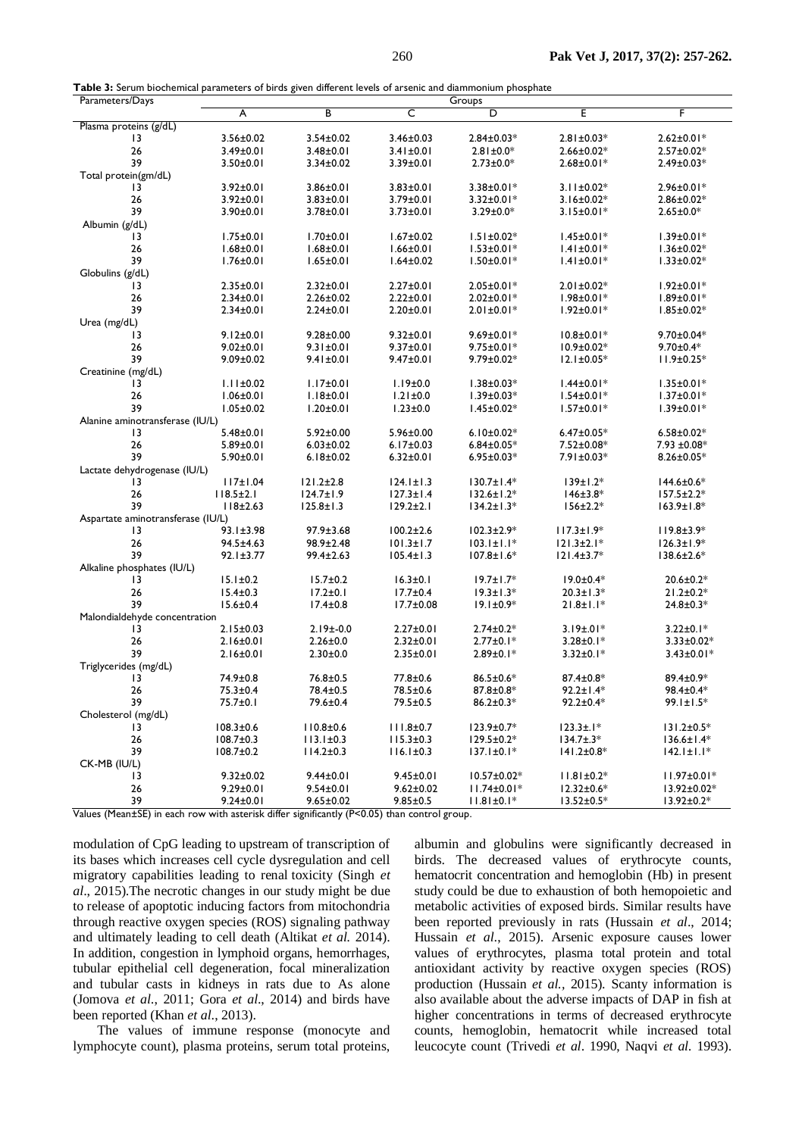**Table 3:** Serum biochemical parameters of birds given different levels of arsenic and diammonium phosphate

| Parameters/Days                   | Groups          |                 |                 |                   |                   |                   |  |
|-----------------------------------|-----------------|-----------------|-----------------|-------------------|-------------------|-------------------|--|
|                                   | A               | В               | C               | D                 | Ε                 | F                 |  |
| Plasma proteins (g/dL)            |                 |                 |                 |                   |                   |                   |  |
| 13                                | $3.56 \pm 0.02$ | $3.54 \pm 0.02$ | $3.46 \pm 0.03$ | $2.84 \pm 0.03*$  | $2.81 \pm 0.03*$  | $2.62 \pm 0.01*$  |  |
| 26                                | $3.49 \pm 0.01$ | $3.48 \pm 0.01$ | $3.41 \pm 0.01$ | $2.81 \pm 0.0*$   | $2.66 \pm 0.02*$  | $2.57 \pm 0.02*$  |  |
| 39                                | $3.50 \pm 0.01$ |                 |                 | $2.73 \pm 0.0*$   | $2.68 \pm 0.01*$  | $2.49 \pm 0.03*$  |  |
|                                   |                 | $3.34 \pm 0.02$ | 3.39±0.01       |                   |                   |                   |  |
| Total protein(gm/dL)              |                 |                 |                 |                   |                   |                   |  |
| 13                                | $3.92 \pm 0.01$ | $3.86 \pm 0.01$ | $3.83 \pm 0.01$ | $3.38 \pm 0.01*$  | $3.11 \pm 0.02*$  | 2.96±0.01*        |  |
| 26                                | $3.92 \pm 0.01$ | $3.83 \pm 0.01$ | 3.79±0.01       | $3.32 \pm 0.01*$  | $3.16 \pm 0.02*$  | $2.86 \pm 0.02*$  |  |
| 39                                | $3.90 \pm 0.01$ | $3.78 \pm 0.01$ | $3.73 \pm 0.01$ | $3.29 \pm 0.0*$   | $3.15 \pm 0.01*$  | $2.65 \pm 0.0*$   |  |
| Albumin (g/dL)                    |                 |                 |                 |                   |                   |                   |  |
| 13                                | $1.75 \pm 0.01$ | $1.70 \pm 0.01$ | $1.67 \pm 0.02$ | $1.51 \pm 0.02*$  | $1.45 \pm 0.01*$  | $1.39 \pm 0.01*$  |  |
| 26                                | $1.68 + 0.01$   | $1.68 + 0.01$   | $1.66 \pm 0.01$ | $1.53 \pm 0.01*$  | $1.41 \pm 0.01*$  | $1.36 \pm 0.02*$  |  |
| 39                                | $1.76 \pm 0.01$ | $1.65 \pm 0.01$ | $1.64 \pm 0.02$ | $1.50 \pm 0.01*$  | $1.41 \pm 0.01*$  | $1.33 \pm 0.02*$  |  |
| Globulins (g/dL)                  |                 |                 |                 |                   |                   |                   |  |
| 13                                | $2.35 \pm 0.01$ | $2.32 \pm 0.01$ | $2.27 \pm 0.01$ | $2.05 \pm 0.01*$  | $2.01 \pm 0.02*$  | $1.92 \pm 0.01*$  |  |
|                                   |                 |                 |                 |                   |                   |                   |  |
| 26                                | $2.34 \pm 0.01$ | $2.26 \pm 0.02$ | $2.22 \pm 0.01$ | $2.02 \pm 0.01*$  | $1.98 \pm 0.01*$  | $1.89 \pm 0.01*$  |  |
| 39                                | $2.34 \pm 0.01$ | $2.24 \pm 0.01$ | $2.20 \pm 0.01$ | $2.01 \pm 0.01*$  | $1.92 \pm 0.01*$  | $1.85 \pm 0.02*$  |  |
| Urea (mg/dL)                      |                 |                 |                 |                   |                   |                   |  |
| 13                                | $9.12 \pm 0.01$ | $9.28 \pm 0.00$ | $9.32 \pm 0.01$ | $9.69 \pm 0.01*$  | $10.8 \pm 0.01*$  | 9.70±0.04*        |  |
| 26                                | $9.02 \pm 0.01$ | $9.31 \pm 0.01$ | $9.37 \pm 0.01$ | $9.75 \pm 0.01*$  | 10.9±0.02*        | $9.70 \pm 0.4*$   |  |
| 39                                | $9.09 \pm 0.02$ | $9.41 \pm 0.01$ | $9.47 \pm 0.01$ | $9.79 \pm 0.02*$  | $12.1 \pm 0.05*$  | $11.9 \pm 0.25*$  |  |
| Creatinine (mg/dL)                |                 |                 |                 |                   |                   |                   |  |
| 13                                | $1.11 \pm 0.02$ | $1.17 \pm 0.01$ | $1.19 \pm 0.0$  | $1.38 \pm 0.03*$  | $1.44 \pm 0.01*$  | $1.35 \pm 0.01*$  |  |
| 26                                | $1.06 \pm 0.01$ | $1.18 \pm 0.01$ | $1.21 \pm 0.0$  | $1.39 \pm 0.03*$  | $1.54 \pm 0.01*$  | $1.37 \pm 0.01*$  |  |
| 39                                | $1.05 \pm 0.02$ | $1.20 \pm 0.01$ | $1.23 \pm 0.0$  | $1.45 \pm 0.02*$  | $1.57 \pm 0.01*$  | $1.39 \pm 0.01*$  |  |
| Alanine aminotransferase (IU/L)   |                 |                 |                 |                   |                   |                   |  |
| $\overline{13}$                   | $5.48 \pm 0.01$ |                 |                 |                   | $6.47 \pm 0.05*$  |                   |  |
|                                   |                 | $5.92 \pm 0.00$ | 5.96±0.00       | $6.10 \pm 0.02$ * |                   | $6.58 \pm 0.02*$  |  |
| 26                                | $5.89 \pm 0.01$ | $6.03 \pm 0.02$ | $6.17 \pm 0.03$ | $6.84 \pm 0.05*$  | 7.52±0.08*        | $7.93 \pm 0.08*$  |  |
| 39                                | $5.90 \pm 0.01$ | $6.18 \pm 0.02$ | $6.32 \pm 0.01$ | $6.95 \pm 0.03*$  | 7.91±0.03*        | $8.26 \pm 0.05*$  |  |
| Lactate dehydrogenase (IU/L)      |                 |                 |                 |                   |                   |                   |  |
| 13                                | 117±1.04        | $121.2 \pm 2.8$ | $124.1 \pm 1.3$ | $130.7 \pm 1.4*$  | $139 \pm 1.2*$    | $144.6 \pm 0.6*$  |  |
| 26                                | $118.5 \pm 2.1$ | $124.7 \pm 1.9$ | $127.3 \pm 1.4$ | $132.6 \pm 1.2*$  | $146 \pm 3.8*$    | $157.5 \pm 2.2*$  |  |
| 39                                | 118±2.63        | $125.8 \pm 1.3$ | $129.2 \pm 2.1$ | $134.2 \pm 1.3*$  | $156 \pm 2.2*$    | $163.9 \pm 1.8*$  |  |
| Aspartate aminotransferase (IU/L) |                 |                 |                 |                   |                   |                   |  |
| 13                                | $93.1 \pm 3.98$ | $97.9 \pm 3.68$ | $100.2 \pm 2.6$ | $102.3 \pm 2.9*$  | $117.3 \pm 1.9*$  | $119.8 \pm 3.9*$  |  |
| 26                                | $94.5 \pm 4.63$ | 98.9±2.48       | $101.3 \pm 1.7$ | $103.1 \pm 1.1*$  | $121.3 \pm 2.1*$  | $126.3 \pm 1.9*$  |  |
| 39                                | $92.1 \pm 3.77$ | $99.4 \pm 2.63$ | $105.4 \pm 1.3$ | $107.8 \pm 1.6^*$ | $121.4 \pm 3.7*$  | $138.6 \pm 2.6*$  |  |
|                                   |                 |                 |                 |                   |                   |                   |  |
| Alkaline phosphates (IU/L)        |                 |                 |                 |                   |                   |                   |  |
| 13                                | $15.1 \pm 0.2$  | $15.7 \pm 0.2$  | $16.3 \pm 0.1$  | $19.7 \pm 1.7*$   | $19.0 \pm 0.4*$   | $20.6 \pm 0.2*$   |  |
| 26                                | $15.4 \pm 0.3$  | $17.2 \pm 0.1$  | $17.7 \pm 0.4$  | $19.3 \pm 1.3*$   | $20.3 \pm 1.3*$   | $21.2 \pm 0.2*$   |  |
| 39                                | $15.6 \pm 0.4$  | $17.4 \pm 0.8$  | $17.7 \pm 0.08$ | $19.1 \pm 0.9*$   | $21.8 \pm 1.1*$   | $24.8 \pm 0.3*$   |  |
| Malondialdehyde concentration     |                 |                 |                 |                   |                   |                   |  |
| 13                                | $2.15 \pm 0.03$ | $2.19±-0.0$     | $2.27 \pm 0.01$ | $2.74 \pm 0.2*$   | $3.19 \pm .01*$   | $3.22 \pm 0.1*$   |  |
| 26                                | $2.16 \pm 0.01$ | $2.26 \pm 0.0$  | $2.32 \pm 0.01$ | $2.77 \pm 0.1*$   | $3.28 \pm 0.1*$   | $3.33 \pm 0.02*$  |  |
| 39                                | $2.16 \pm 0.01$ | $2.30 \pm 0.0$  | $2.35 \pm 0.01$ | $2.89 \pm 0.1*$   | $3.32 \pm 0.1*$   | $3.43 \pm 0.01*$  |  |
| Triglycerides (mg/dL)             |                 |                 |                 |                   |                   |                   |  |
| 13                                | 74.9±0.8        | $76.8 \pm 0.5$  | 77.8±0.6        | $86.5 \pm 0.6*$   | $87.4 \pm 0.8^*$  | 89.4±0.9*         |  |
| 26                                | $75.3 \pm 0.4$  | 78.4±0.5        | 78.5±0.6        | 87.8±0.8*         | 92.2±1.4*         | 98.4±0.4*         |  |
| 39                                |                 |                 |                 |                   |                   |                   |  |
|                                   | 75.7±0.1        | 79.6±0.4        | 79.5±0.5        | $86.2 \pm 0.3*$   | $92.2 \pm 0.4*$   | 99.1±1.5*         |  |
| Cholesterol (mg/dL)               |                 |                 |                 |                   |                   |                   |  |
| 3                                 | $108.3 \pm 0.6$ | $110.8 + 0.6$   | $111.8 \pm 0.7$ | $123.9 \pm 0.7*$  | $123.3 \pm .1*$   | $131.2 \pm 0.5*$  |  |
| 26                                | $108.7 \pm 0.3$ | $113.1 \pm 0.3$ | $115.3 \pm 0.3$ | 129.5±0.2*        | $134.7 \pm .3*$   | $136.6 \pm 1.4*$  |  |
| 39                                | $108.7 \pm 0.2$ | $114.2 \pm 0.3$ | $116.1 \pm 0.3$ | $137.1 \pm 0.1*$  | $141.2 \pm 0.8^*$ | $142.1 \pm 1.1*$  |  |
| CK-MB (IU/L)                      |                 |                 |                 |                   |                   |                   |  |
| 13                                | $9.32 \pm 0.02$ | $9.44 \pm 0.01$ | $9.45 \pm 0.01$ | $10.57 \pm 0.02*$ | $11.81 \pm 0.2*$  | $11.97 \pm 0.01*$ |  |
| 26                                | $9.29 \pm 0.01$ | $9.54 \pm 0.01$ | $9.62 \pm 0.02$ | $11.74 \pm 0.01*$ | $12.32 \pm 0.6*$  | $13.92 \pm 0.02*$ |  |
| 39                                | $9.24 \pm 0.01$ | $9.65 \pm 0.02$ | $9.85 \pm 0.5$  | $11.81 \pm 0.1*$  | $13.52 \pm 0.5*$  | $13.92 \pm 0.2*$  |  |
|                                   |                 |                 |                 |                   |                   |                   |  |

Values (Mean±SE) in each row with asterisk differ significantly (P<0.05) than control group.

modulation of CpG leading to upstream of transcription of its bases which increases cell cycle dysregulation and cell migratory capabilities leading to renal toxicity (Singh *et al*., 2015).The necrotic changes in our study might be due to release of apoptotic inducing factors from mitochondria through reactive oxygen species (ROS) signaling pathway and ultimately leading to cell death (Altikat *et al.* 2014). In addition, congestion in lymphoid organs, hemorrhages, tubular epithelial cell degeneration, focal mineralization and tubular casts in kidneys in rats due to As alone (Jomova *et al*., 2011; Gora *et al*., 2014) and birds have been reported (Khan *et al*., 2013).

The values of immune response (monocyte and lymphocyte count), plasma proteins, serum total proteins,

albumin and globulins were significantly decreased in birds. The decreased values of erythrocyte counts, hematocrit concentration and hemoglobin (Hb) in present study could be due to exhaustion of both hemopoietic and metabolic activities of exposed birds. Similar results have been reported previously in rats (Hussain *et al*., 2014; Hussain *et al*., 2015). Arsenic exposure causes lower values of erythrocytes, plasma total protein and total antioxidant activity by reactive oxygen species (ROS) production (Hussain *et al.,* 2015). Scanty information is also available about the adverse impacts of DAP in fish at higher concentrations in terms of decreased erythrocyte counts, hemoglobin, hematocrit while increased total leucocyte count (Trivedi *et al*. 1990, Naqvi *et al.* 1993).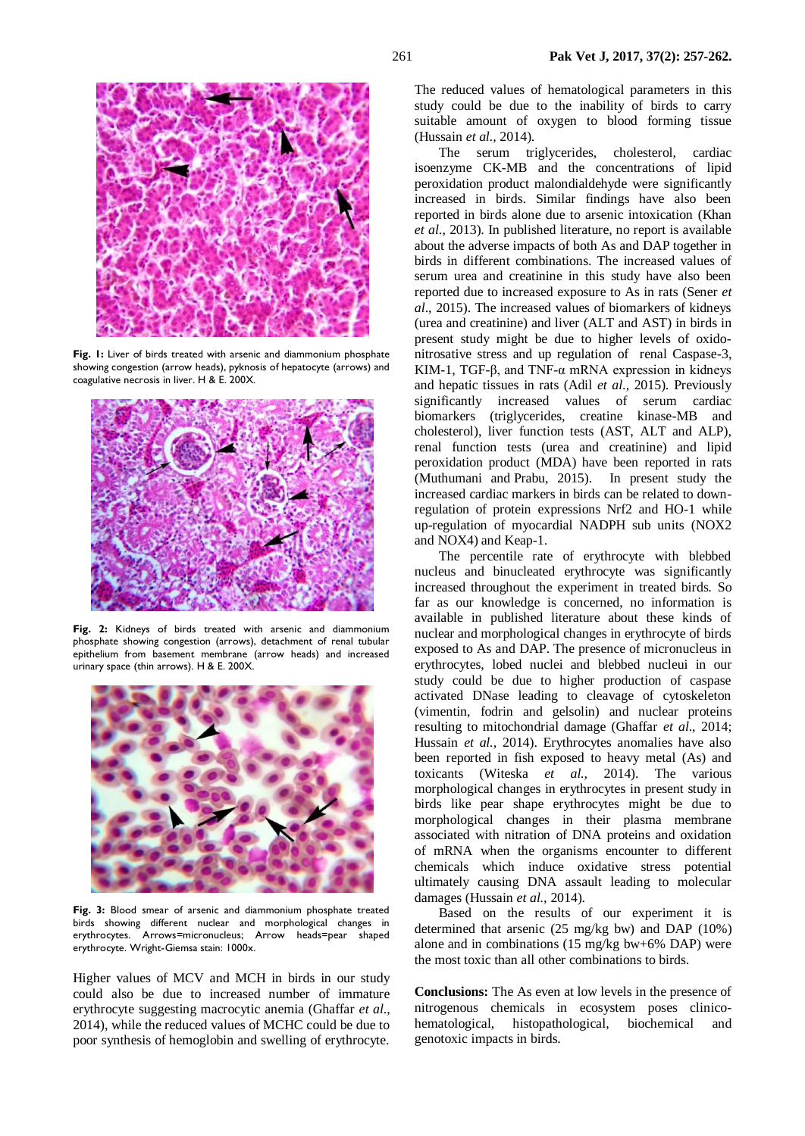

**Fig. 1:** Liver of birds treated with arsenic and diammonium phosphate showing congestion (arrow heads), pyknosis of hepatocyte (arrows) and coagulative necrosis in liver. H & E. 200X.



**Fig. 2:** Kidneys of birds treated with arsenic and diammonium phosphate showing congestion (arrows), detachment of renal tubular epithelium from basement membrane (arrow heads) and increased urinary space (thin arrows). H & E. 200X.



**Fig. 3:** Blood smear of arsenic and diammonium phosphate treated birds showing different nuclear and morphological changes in erythrocytes. Arrows=micronucleus; Arrow heads=pear shaped erythrocyte. Wright-Giemsa stain: 1000x.

Higher values of MCV and MCH in birds in our study could also be due to increased number of immature erythrocyte suggesting macrocytic anemia (Ghaffar *et al*., 2014), while the reduced values of MCHC could be due to poor synthesis of hemoglobin and swelling of erythrocyte.

The reduced values of hematological parameters in this study could be due to the inability of birds to carry suitable amount of oxygen to blood forming tissue (Hussain *et al.,* 2014).

The serum triglycerides, cholesterol, cardiac isoenzyme CK-MB and the concentrations of lipid peroxidation product malondialdehyde were significantly increased in birds. Similar findings have also been reported in birds alone due to arsenic intoxication (Khan *et al*., 2013). In published literature, no report is available about the adverse impacts of both As and DAP together in birds in different combinations. The increased values of serum urea and creatinine in this study have also been reported due to increased exposure to As in rats (Sener *et al*., 2015). The increased values of biomarkers of kidneys (urea and creatinine) and liver (ALT and AST) in birds in present study might be due to higher levels of oxidonitrosative stress and up regulation of renal Caspase-3, KIM-1, TGF-β, and TNF-α mRNA expression in kidneys and hepatic tissues in rats (Adil *et al*., 2015). Previously significantly increased values of serum cardiac biomarkers (triglycerides, creatine kinase-MB and cholesterol), liver function tests (AST, ALT and ALP), renal function tests (urea and creatinine) and lipid peroxidation product (MDA) have been reported in rats [\(Muthumani and](http://www.ncbi.nlm.nih.gov/pubmed/?term=Muthumani%20M%5BAuthor%5D&cauthor=true&cauthor_uid=24062023) [Prabu,](http://www.ncbi.nlm.nih.gov/pubmed/?term=Prabu%20SM%5BAuthor%5D&cauthor=true&cauthor_uid=24062023) 2015). In present study the increased cardiac markers in birds can be related to downregulation of protein expressions Nrf2 and HO-1 while up-regulation of myocardial NADPH sub units (NOX2 and NOX4) and Keap-1.

The percentile rate of erythrocyte with blebbed nucleus and binucleated erythrocyte was significantly increased throughout the experiment in treated birds. So far as our knowledge is concerned, no information is available in published literature about these kinds of nuclear and morphological changes in erythrocyte of birds exposed to As and DAP. The presence of micronucleus in erythrocytes, lobed nuclei and blebbed nucleui in our study could be due to higher production of caspase activated DNase leading to cleavage of cytoskeleton (vimentin, fodrin and gelsolin) and nuclear proteins resulting to mitochondrial damage (Ghaffar *et al*., 2014; Hussain *et al.*, 2014). Erythrocytes anomalies have also been reported in fish exposed to heavy metal (As) and toxicants (Witeska *et al.,* 2014). The various morphological changes in erythrocytes in present study in birds like pear shape erythrocytes might be due to morphological changes in their plasma membrane associated with nitration of DNA proteins and oxidation of mRNA when the organisms encounter to different chemicals which induce oxidative stress potential ultimately causing DNA assault leading to molecular damages (Hussain *et al.,* 2014).

Based on the results of our experiment it is determined that arsenic (25 mg/kg bw) and DAP (10%) alone and in combinations (15 mg/kg bw+6% DAP) were the most toxic than all other combinations to birds.

**Conclusions:** The As even at low levels in the presence of nitrogenous chemicals in ecosystem poses clinicohematological, histopathological, biochemical and genotoxic impacts in birds.